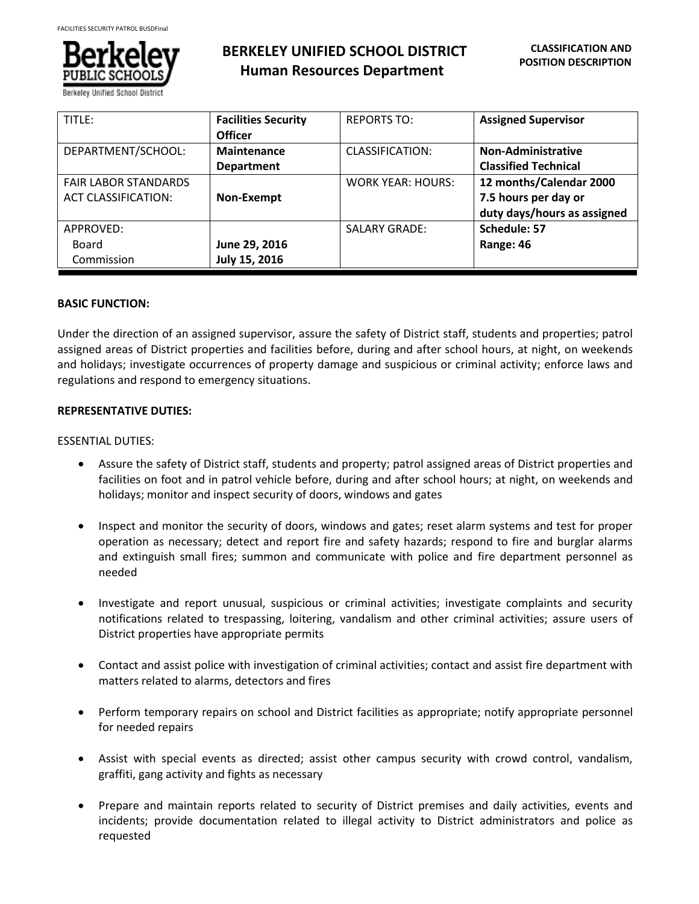

**BERKELEY UNIFIED SCHOOL DISTRICT Human Resources Department**

| TITLE:                      | <b>Facilities Security</b><br><b>Officer</b> | <b>REPORTS TO:</b>       | <b>Assigned Supervisor</b>  |
|-----------------------------|----------------------------------------------|--------------------------|-----------------------------|
| DEPARTMENT/SCHOOL:          | <b>Maintenance</b>                           | CLASSIFICATION:          | <b>Non-Administrative</b>   |
|                             | <b>Department</b>                            |                          | <b>Classified Technical</b> |
| <b>FAIR LABOR STANDARDS</b> |                                              | <b>WORK YEAR: HOURS:</b> | 12 months/Calendar 2000     |
| <b>ACT CLASSIFICATION:</b>  | Non-Exempt                                   |                          | 7.5 hours per day or        |
|                             |                                              |                          | duty days/hours as assigned |
| APPROVED:                   |                                              | <b>SALARY GRADE:</b>     | Schedule: 57                |
| Board                       | June 29, 2016                                |                          | Range: 46                   |
| Commission                  | July 15, 2016                                |                          |                             |

## **BASIC FUNCTION:**

Under the direction of an assigned supervisor, assure the safety of District staff, students and properties; patrol assigned areas of District properties and facilities before, during and after school hours, at night, on weekends and holidays; investigate occurrences of property damage and suspicious or criminal activity; enforce laws and regulations and respond to emergency situations.

## **REPRESENTATIVE DUTIES:**

# ESSENTIAL DUTIES:

- Assure the safety of District staff, students and property; patrol assigned areas of District properties and facilities on foot and in patrol vehicle before, during and after school hours; at night, on weekends and holidays; monitor and inspect security of doors, windows and gates
- Inspect and monitor the security of doors, windows and gates; reset alarm systems and test for proper operation as necessary; detect and report fire and safety hazards; respond to fire and burglar alarms and extinguish small fires; summon and communicate with police and fire department personnel as needed
- Investigate and report unusual, suspicious or criminal activities; investigate complaints and security notifications related to trespassing, loitering, vandalism and other criminal activities; assure users of District properties have appropriate permits
- Contact and assist police with investigation of criminal activities; contact and assist fire department with matters related to alarms, detectors and fires
- Perform temporary repairs on school and District facilities as appropriate; notify appropriate personnel for needed repairs
- Assist with special events as directed; assist other campus security with crowd control, vandalism, graffiti, gang activity and fights as necessary
- Prepare and maintain reports related to security of District premises and daily activities, events and incidents; provide documentation related to illegal activity to District administrators and police as requested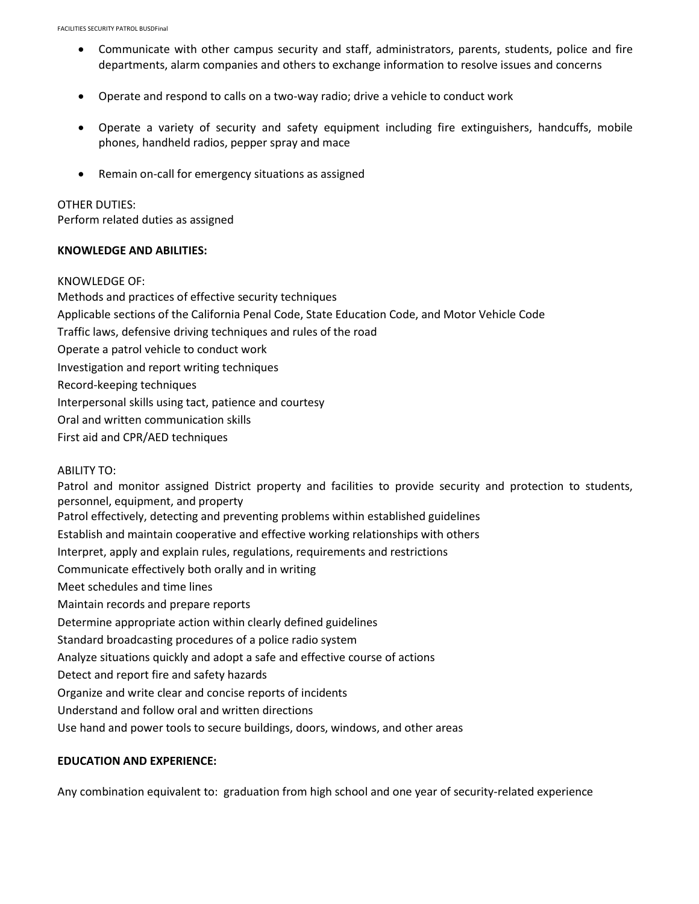- Communicate with other campus security and staff, administrators, parents, students, police and fire departments, alarm companies and others to exchange information to resolve issues and concerns
- Operate and respond to calls on a two-way radio; drive a vehicle to conduct work
- Operate a variety of security and safety equipment including fire extinguishers, handcuffs, mobile phones, handheld radios, pepper spray and mace
- Remain on-call for emergency situations as assigned

#### OTHER DUTIES:

Perform related duties as assigned

#### **KNOWLEDGE AND ABILITIES:**

#### KNOWLEDGE OF:

Methods and practices of effective security techniques Applicable sections of the California Penal Code, State Education Code, and Motor Vehicle Code Traffic laws, defensive driving techniques and rules of the road Operate a patrol vehicle to conduct work Investigation and report writing techniques Record-keeping techniques Interpersonal skills using tact, patience and courtesy Oral and written communication skills First aid and CPR/AED techniques ABILITY TO:

Patrol and monitor assigned District property and facilities to provide security and protection to students, personnel, equipment, and property Patrol effectively, detecting and preventing problems within established guidelines Establish and maintain cooperative and effective working relationships with others Interpret, apply and explain rules, regulations, requirements and restrictions Communicate effectively both orally and in writing Meet schedules and time lines Maintain records and prepare reports Determine appropriate action within clearly defined guidelines Standard broadcasting procedures of a police radio system Analyze situations quickly and adopt a safe and effective course of actions Detect and report fire and safety hazards Organize and write clear and concise reports of incidents Understand and follow oral and written directions Use hand and power tools to secure buildings, doors, windows, and other areas

#### **EDUCATION AND EXPERIENCE:**

Any combination equivalent to: graduation from high school and one year of security-related experience